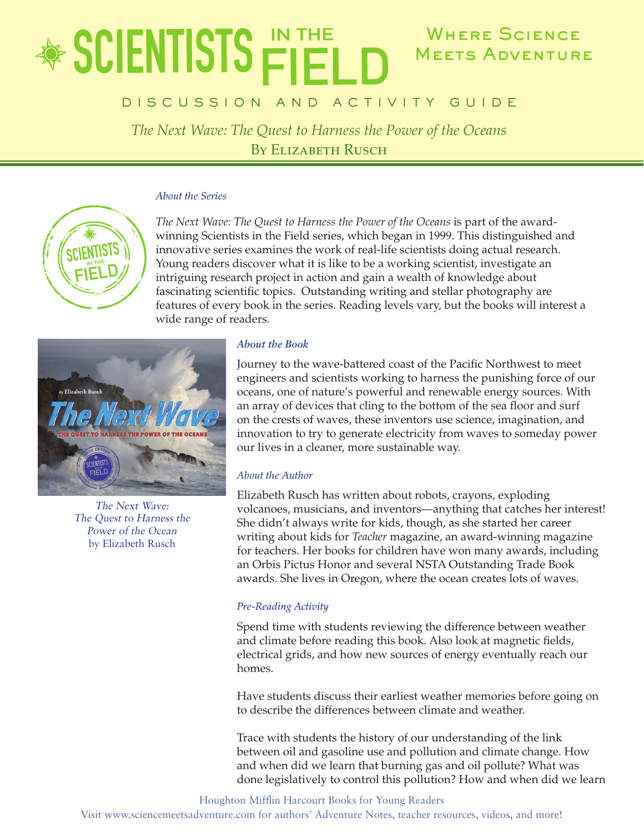# Where Science **◈ SCIENTISTS Ë MEETS ADVENTURE**

## D I S C U S S I O N A N D A C T I V I T Y G U I D E

*The Next Wave: The Quest to Harness the Power of the Oceans* BY ELIZABETH RUSCH

#### *About the Series*



*The Next Wave: The Quest to Harness the Power of the Oceans* is part of the awardwinning Scientists in the Field series, which began in 1999. This distinguished and innovative series examines the work of real-life scientists doing actual research. Young readers discover what it is like to be a working scientist, investigate an intriguing research project in action and gain a wealth of knowledge about fascinating scientific topics. Outstanding writing and stellar photography are features of every book in the series. Reading levels vary, but the books will interest a wide range of readers.



The Next Wave: The Quest to Harness the Power of the Ocean by Elizabeth Rusch

## *About the Book*

Journey to the wave-battered coast of the Pacific Northwest to meet engineers and scientists working to harness the punishing force of our oceans, one of nature's powerful and renewable energy sources. With an array of devices that cling to the bottom of the sea floor and surf on the crests of waves, these inventors use science, imagination, and innovation to try to generate electricity from waves to someday power our lives in a cleaner, more sustainable way.

## *About the Author*

Elizabeth Rusch has written about robots, crayons, exploding volcanoes, musicians, and inventors—anything that catches her interest! She didn't always write for kids, though, as she started her career writing about kids for *Teacher* magazine, an award-winning magazine for teachers. Her books for children have won many awards, including an Orbis Pictus Honor and several NSTA Outstanding Trade Book awards. She lives in Oregon, where the ocean creates lots of waves.

## *Pre-Reading Activity*

Spend time with students reviewing the difference between weather and climate before reading this book. Also look at magnetic fields, electrical grids, and how new sources of energy eventually reach our homes.

Have students discuss their earliest weather memories before going on to describe the differences between climate and weather.

Trace with students the history of our understanding of the link between oil and gasoline use and pollution and climate change. How and when did we learn that burning gas and oil pollute? What was done legislatively to control this pollution? How and when did we learn

Houghton Mifflin Harcourt Books for Young Readers

Visit www.sciencemeetsadventure.com for authors' Adventure Notes, teacher resources, videos, and more!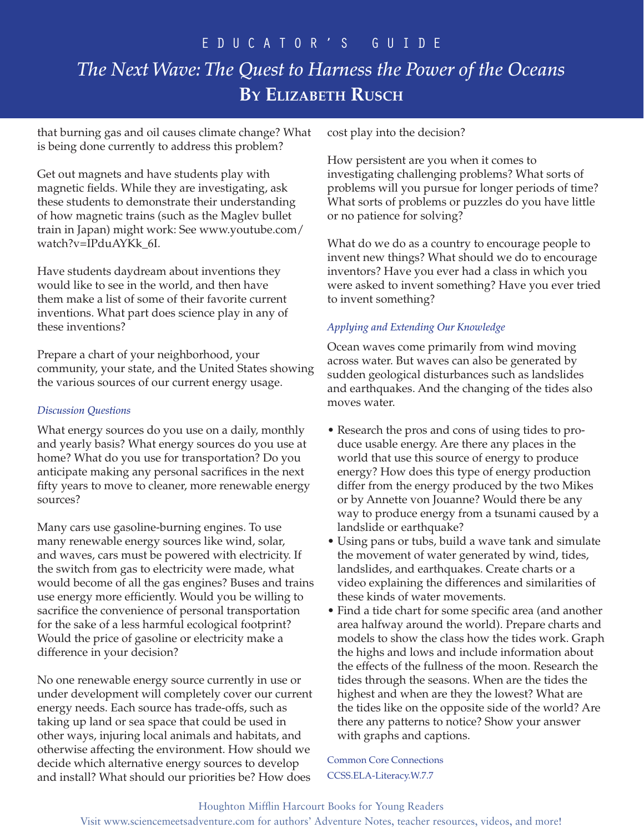## e d u c a t o r ' s G u i d e *The Next Wave: The Quest to Harness the Power of the Oceans* **By Elizabeth Rusch**

that burning gas and oil causes climate change? What is being done currently to address this problem?

Get out magnets and have students play with magnetic fields. While they are investigating, ask these students to demonstrate their understanding of how magnetic trains (such as the Maglev bullet train in Japan) might work: See www.youtube.com/ watch?v=IPduAYKk\_6I.

Have students daydream about inventions they would like to see in the world, and then have them make a list of some of their favorite current inventions. What part does science play in any of these inventions?

Prepare a chart of your neighborhood, your community, your state, and the United States showing the various sources of our current energy usage.

### *Discussion Questions*

What energy sources do you use on a daily, monthly and yearly basis? What energy sources do you use at home? What do you use for transportation? Do you anticipate making any personal sacrifices in the next fifty years to move to cleaner, more renewable energy sources?

Many cars use gasoline-burning engines. To use many renewable energy sources like wind, solar, and waves, cars must be powered with electricity. If the switch from gas to electricity were made, what would become of all the gas engines? Buses and trains use energy more efficiently. Would you be willing to sacrifice the convenience of personal transportation for the sake of a less harmful ecological footprint? Would the price of gasoline or electricity make a difference in your decision?

No one renewable energy source currently in use or under development will completely cover our current energy needs. Each source has trade-offs, such as taking up land or sea space that could be used in other ways, injuring local animals and habitats, and otherwise affecting the environment. How should we decide which alternative energy sources to develop and install? What should our priorities be? How does

cost play into the decision?

How persistent are you when it comes to investigating challenging problems? What sorts of problems will you pursue for longer periods of time? What sorts of problems or puzzles do you have little or no patience for solving?

What do we do as a country to encourage people to invent new things? What should we do to encourage inventors? Have you ever had a class in which you were asked to invent something? Have you ever tried to invent something?

## *Applying and Extending Our Knowledge*

Ocean waves come primarily from wind moving across water. But waves can also be generated by sudden geological disturbances such as landslides and earthquakes. And the changing of the tides also moves water.

- Research the pros and cons of using tides to produce usable energy. Are there any places in the world that use this source of energy to produce energy? How does this type of energy production differ from the energy produced by the two Mikes or by Annette von Jouanne? Would there be any way to produce energy from a tsunami caused by a landslide or earthquake?
- Using pans or tubs, build a wave tank and simulate the movement of water generated by wind, tides, landslides, and earthquakes. Create charts or a video explaining the differences and similarities of these kinds of water movements.
- Find a tide chart for some specific area (and another area halfway around the world). Prepare charts and models to show the class how the tides work. Graph the highs and lows and include information about the effects of the fullness of the moon. Research the tides through the seasons. When are the tides the highest and when are they the lowest? What are the tides like on the opposite side of the world? Are there any patterns to notice? Show your answer with graphs and captions.

Common Core Connections CCSS.ELA-Literacy.W.7.7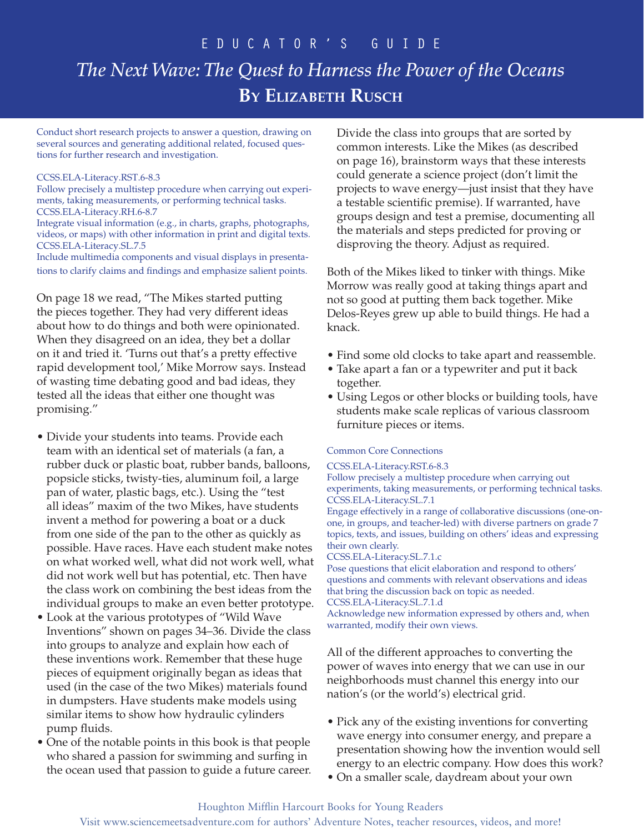## e d u c a t o r ' s G u i d e *The Next Wave: The Quest to Harness the Power of the Oceans* **By Elizabeth Rusch**

Conduct short research projects to answer a question, drawing on several sources and generating additional related, focused questions for further research and investigation.

#### CCSS.ELA-Literacy.RST.6-8.3

Follow precisely a multistep procedure when carrying out experiments, taking measurements, or performing technical tasks. CCSS.ELA-Literacy.RH.6-8.7

Integrate visual information (e.g., in charts, graphs, photographs, videos, or maps) with other information in print and digital texts. CCSS.ELA-Literacy.SL.7.5

Include multimedia components and visual displays in presentations to clarify claims and findings and emphasize salient points.

On page 18 we read, "The Mikes started putting the pieces together. They had very different ideas about how to do things and both were opinionated. When they disagreed on an idea, they bet a dollar on it and tried it. 'Turns out that's a pretty effective rapid development tool,' Mike Morrow says. Instead of wasting time debating good and bad ideas, they tested all the ideas that either one thought was promising."

- Divide your students into teams. Provide each team with an identical set of materials (a fan, a rubber duck or plastic boat, rubber bands, balloons, popsicle sticks, twisty-ties, aluminum foil, a large pan of water, plastic bags, etc.). Using the "test all ideas" maxim of the two Mikes, have students invent a method for powering a boat or a duck from one side of the pan to the other as quickly as possible. Have races. Have each student make notes on what worked well, what did not work well, what did not work well but has potential, etc. Then have the class work on combining the best ideas from the individual groups to make an even better prototype.
- Look at the various prototypes of "Wild Wave Inventions" shown on pages 34–36. Divide the class into groups to analyze and explain how each of these inventions work. Remember that these huge pieces of equipment originally began as ideas that used (in the case of the two Mikes) materials found in dumpsters. Have students make models using similar items to show how hydraulic cylinders pump fluids.
- One of the notable points in this book is that people who shared a passion for swimming and surfing in the ocean used that passion to guide a future career.

Divide the class into groups that are sorted by common interests. Like the Mikes (as described on page 16), brainstorm ways that these interests could generate a science project (don't limit the projects to wave energy—just insist that they have a testable scientific premise). If warranted, have groups design and test a premise, documenting all the materials and steps predicted for proving or disproving the theory. Adjust as required.

Both of the Mikes liked to tinker with things. Mike Morrow was really good at taking things apart and not so good at putting them back together. Mike Delos-Reyes grew up able to build things. He had a knack.

- Find some old clocks to take apart and reassemble.
- Take apart a fan or a typewriter and put it back together.
- Using Legos or other blocks or building tools, have students make scale replicas of various classroom furniture pieces or items.

#### Common Core Connections

#### CCSS.ELA-Literacy.RST.6-8.3

Follow precisely a multistep procedure when carrying out experiments, taking measurements, or performing technical tasks. CCSS.ELA-Literacy.SL.7.1

Engage effectively in a range of collaborative discussions (one-onone, in groups, and teacher-led) with diverse partners on grade 7 topics, texts, and issues, building on others' ideas and expressing their own clearly.

CCSS.ELA-Literacy.SL.7.1.c

Pose questions that elicit elaboration and respond to others' questions and comments with relevant observations and ideas that bring the discussion back on topic as needed. CCSS.ELA-Literacy.SL.7.1.d

Acknowledge new information expressed by others and, when warranted, modify their own views.

All of the different approaches to converting the power of waves into energy that we can use in our neighborhoods must channel this energy into our nation's (or the world's) electrical grid.

- Pick any of the existing inventions for converting wave energy into consumer energy, and prepare a presentation showing how the invention would sell energy to an electric company. How does this work?
- On a smaller scale, daydream about your own